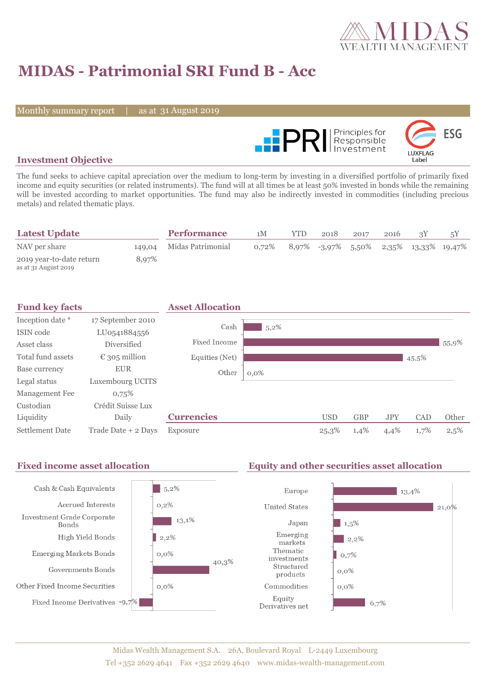

# **MIDAS - Patrimonial SRI Fund B - Acc**

Monthly summary report

31 August 2019



### **Investment Objective**

The fund seeks to achieve capital apreciation over the medium to long-term by investing in a diversified portfolio of primarily fixed income and equity securities (or related instruments). The fund will at all times be at least 50% invested in bonds while the remaining will be invested according to market opportunities. The fund may also be indirectly invested in commodities (including precious metals) and related thematic plays.

| <b>Latest Update</b>                             |       | <b>Performance</b>       | 1M       | YTD | 2018 | 2017 | 2016 |                                           |
|--------------------------------------------------|-------|--------------------------|----------|-----|------|------|------|-------------------------------------------|
| NAV per share                                    |       | 149,04 Midas Patrimonial | $0.72\%$ |     |      |      |      | $8,97\%$ -3,97% 5,50% 2,35% 13,33% 19,47% |
| 2019 year-to-date return<br>as at 31 August 2019 | 8.97% |                          |          |     |      |      |      |                                           |



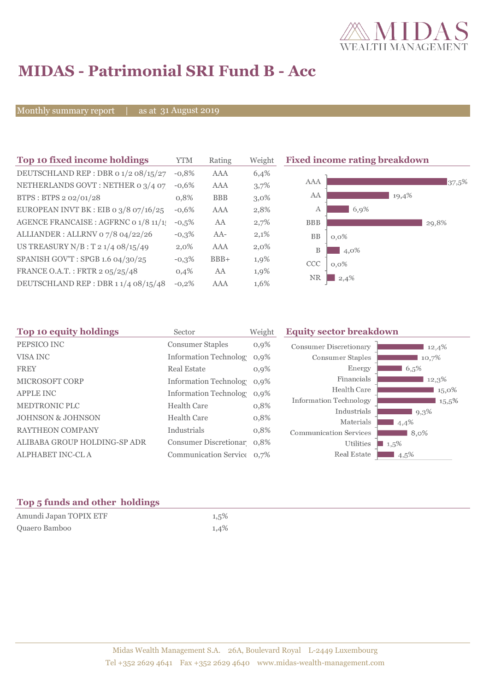

## **MIDAS - Patrimonial SRI Fund B - Acc**

Monthly summary report

31 August 2019

| Top 10 fixed income holdings          | YTM     | Rating     | Weigh   |
|---------------------------------------|---------|------------|---------|
| DEUTSCHLAND REP : DBR o 1/2 08/15/27  | $-0.8%$ | AAA        | 6,4%    |
| NETHERLANDS GOVT: NETHER 0 3/4 07     | $-0.6%$ | AAA        | 3,7%    |
| BTPS: BTPS 2 02/01/28                 | 0,8%    | <b>BBB</b> | $3,0\%$ |
| EUROPEAN INVT BK : EIB o 3/8 07/16/25 | $-0.6%$ | AAA        | 2,8%    |
| AGENCE FRANCAISE : AGFRNC 0 1/8 11/1  | $-0,5%$ | AA         | 2,7%    |
| ALLIANDER: ALLRNV 07/8 04/22/26       | $-0,3%$ | $AA-$      | 2,1%    |
| US TREASURY $N/B$ : T 2 1/4 08/15/49  | $2.0\%$ | AAA        | $2,0\%$ |
| SPANISH GOV'T: SPGB 1.6 04/30/25      | $-0,3%$ | $BBB+$     | 1,9%    |
| FRANCE O.A.T.: FRTR 2 05/25/48        | 0.4%    | AA         | 1,9%    |
| DEUTSCHLAND REP : DBR 1 1/4 08/15/48  | $-0.2%$ | AAA        | 1,6%    |

**The 10 fixed income rating breakdown** 



| Sector                  | Weight                            | <b>Equity sector breakdown</b>                                                                                                                                               |                                                           |  |
|-------------------------|-----------------------------------|------------------------------------------------------------------------------------------------------------------------------------------------------------------------------|-----------------------------------------------------------|--|
| <b>Consumer Staples</b> | $0,9\%$                           | <b>Consumer Discretionary</b>                                                                                                                                                | 12,4%                                                     |  |
|                         | $0.9\%$                           | Consumer Staples                                                                                                                                                             | 10.7%                                                     |  |
| <b>Real Estate</b>      | $0,9\%$                           | Energy                                                                                                                                                                       | 6,5%                                                      |  |
|                         |                                   | Financials                                                                                                                                                                   | 12,3%                                                     |  |
|                         |                                   | Health Care                                                                                                                                                                  | 15,0%                                                     |  |
| <b>Health Care</b>      |                                   |                                                                                                                                                                              | $15,5\%$                                                  |  |
|                         |                                   |                                                                                                                                                                              | $9,3\%$                                                   |  |
|                         |                                   |                                                                                                                                                                              | 4,4%                                                      |  |
|                         |                                   | <b>Communication Services</b>                                                                                                                                                | $8.0\%$                                                   |  |
|                         |                                   | Utilities                                                                                                                                                                    | $1,5\%$                                                   |  |
|                         |                                   | Real Estate                                                                                                                                                                  | $4.5\%$                                                   |  |
|                         | <b>Health Care</b><br>Industrials | <b>Information Technolog</b><br>Information Technolog 0,9%<br>Information Technolog 0,9%<br>0,8%<br>0,8%<br>0,8%<br>Consumer Discretionar 0,8%<br>Communication Service 0,7% | <b>Information Technology</b><br>Industrials<br>Materials |  |

### **Top 5 funds and other holdings**

| Amundi Japan TOPIX ETF | 1,5% |
|------------------------|------|
| Quaero Bamboo          | 1,4% |